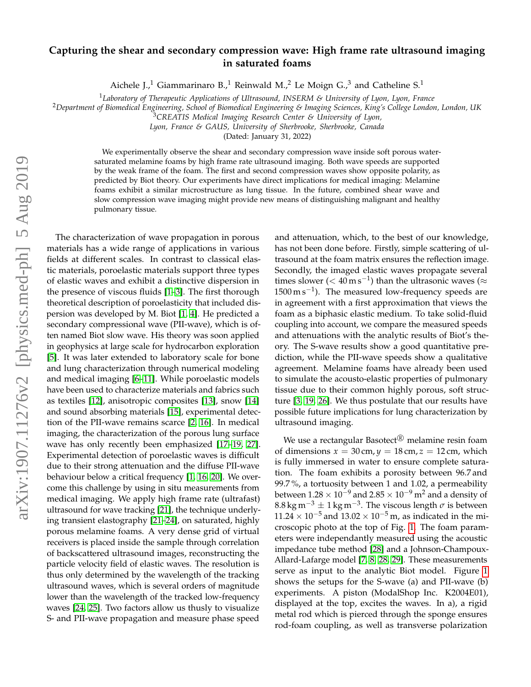## **Capturing the shear and secondary compression wave: High frame rate ultrasound imaging in saturated foams**

Aichele J.,<sup>1</sup> Giammarinaro B.,<sup>1</sup> Reinwald M.,<sup>2</sup> Le Moign G.,<sup>3</sup> and Catheline S.<sup>1</sup>

<sup>1</sup>*Laboratory of Therapeutic Applications of Ultrasound, INSERM & University of Lyon, Lyon, France*

<sup>2</sup>*Department of Biomedical Engineering, School of Biomedical Engineering & Imaging Sciences, King's College London, London, UK*

*Lyon, France & GAUS, University of Sherbrooke, Sherbrooke, Canada*

(Dated: January 31, 2022)

We experimentally observe the shear and secondary compression wave inside soft porous watersaturated melamine foams by high frame rate ultrasound imaging. Both wave speeds are supported by the weak frame of the foam. The first and second compression waves show opposite polarity, as predicted by Biot theory. Our experiments have direct implications for medical imaging: Melamine foams exhibit a similar microstructure as lung tissue. In the future, combined shear wave and slow compression wave imaging might provide new means of distinguishing malignant and healthy pulmonary tissue.

The characterization of wave propagation in porous materials has a wide range of applications in various fields at different scales. In contrast to classical elastic materials, poroelastic materials support three types of elastic waves and exhibit a distinctive dispersion in the presence of viscous fluids [\[1–](#page-4-0)[3\]](#page-4-1). The first thorough theoretical description of poroelasticity that included dispersion was developed by M. Biot [\[1,](#page-4-0) [4\]](#page-4-2). He predicted a secondary compressional wave (PII-wave), which is often named Biot slow wave. His theory was soon applied in geophysics at large scale for hydrocarbon exploration [\[5\]](#page-4-3). It was later extended to laboratory scale for bone and lung characterization through numerical modeling and medical imaging [\[6](#page-4-4)[–11\]](#page-4-5). While poroelastic models have been used to characterize materials and fabrics such as textiles [\[12\]](#page-4-6), anisotropic composites [\[13\]](#page-4-7), snow [\[14\]](#page-4-8) and sound absorbing materials [\[15\]](#page-4-9), experimental detection of the PII-wave remains scarce [\[2,](#page-4-10) [16\]](#page-4-11). In medical imaging, the characterization of the porous lung surface wave has only recently been emphasized [\[17](#page-4-12)[–19,](#page-4-13) [27\]](#page-5-0). Experimental detection of poroelastic waves is difficult due to their strong attenuation and the diffuse PII-wave behaviour below a critical frequency [\[1,](#page-4-0) [16,](#page-4-11) [20\]](#page-4-14). We overcome this challenge by using in situ measurements from medical imaging. We apply high frame rate (ultrafast) ultrasound for wave tracking [\[21\]](#page-5-1), the technique underlying transient elastography [\[21](#page-5-1)[–24\]](#page-5-2), on saturated, highly porous melamine foams. A very dense grid of virtual receivers is placed inside the sample through correlation of backscattered ultrasound images, reconstructing the particle velocity field of elastic waves. The resolution is thus only determined by the wavelength of the tracking ultrasound waves, which is several orders of magnitude lower than the wavelength of the tracked low-frequency waves [\[24,](#page-5-2) [25\]](#page-5-3). Two factors allow us thusly to visualize S- and PII-wave propagation and measure phase speed

and attenuation, which, to the best of our knowledge, has not been done before. Firstly, simple scattering of ultrasound at the foam matrix ensures the reflection image. Secondly, the imaged elastic waves propagate several times slower ( $< 40 \,\mathrm{m\,s}^{-1}$ ) than the ultrasonic waves ( $\approx$  $1500 \,\mathrm{m\,s^{-1}}$ ). The measured low-frequency speeds are in agreement with a first approximation that views the foam as a biphasic elastic medium. To take solid-fluid coupling into account, we compare the measured speeds and attenuations with the analytic results of Biot's theory. The S-wave results show a good quantitative prediction, while the PII-wave speeds show a qualitative agreement. Melamine foams have already been used to simulate the acousto-elastic properties of pulmonary tissue due to their common highly porous, soft structure [\[3,](#page-4-1) [19,](#page-4-13) [26\]](#page-5-4). We thus postulate that our results have possible future implications for lung characterization by ultrasound imaging.

We use a rectangular Basotect<sup>®</sup> melamine resin foam of dimensions  $x = 30$  cm,  $y = 18$  cm,  $z = 12$  cm, which is fully immersed in water to ensure complete saturation. The foam exhibits a porosity between 96.7 and 99.7 %, a tortuosity between 1 and 1.02, a permeability between  $1.28 \times 10^{-9}$  and  $2.85 \times 10^{-9}$  m<sup>2</sup> and a density of  $8.8\,\mathrm{kg\,m^{-3}\pm1\,kg\,m^{-3}}$ . The viscous length  $\sigma$  is between  $11.24 \times 10^{-5}$  and  $13.02 \times 10^{-5}$  m, as indicated in the microscopic photo at the top of Fig. [1.](#page-1-0) The foam parameters were independantly measured using the acoustic impedance tube method [\[28\]](#page-5-5) and a Johnson-Champoux-Allard-Lafarge model [\[7,](#page-4-15) [8,](#page-4-16) [28,](#page-5-5) [29\]](#page-5-6). These measurements serve as input to the analytic Biot model. Figure [1](#page-1-0) shows the setups for the S-wave (a) and PII-wave (b) experiments. A piston (ModalShop Inc. K2004E01), displayed at the top, excites the waves. In a), a rigid metal rod which is pierced through the sponge ensures rod-foam coupling, as well as transverse polarization

<sup>3</sup>*CREATIS Medical Imaging Research Center & University of Lyon,*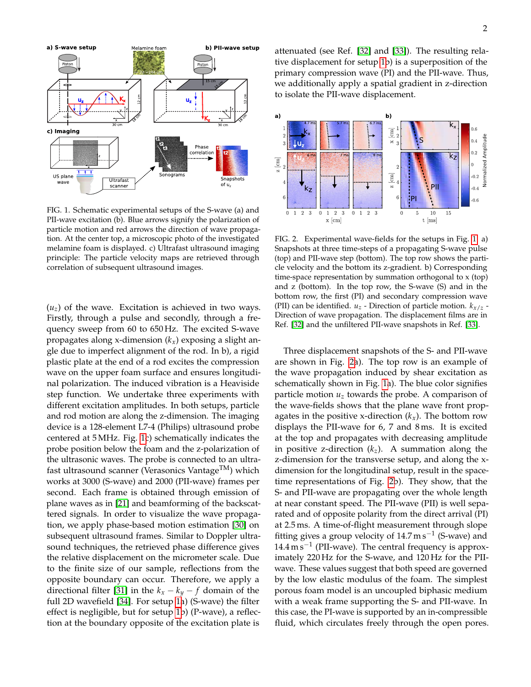

<span id="page-1-0"></span>FIG. 1. Schematic experimental setups of the S-wave (a) and PII-wave excitation (b). Blue arrows signify the polarization of particle motion and red arrows the direction of wave propagation. At the center top, a microscopic photo of the investigated melamine foam is displayed. c) Ultrafast ultrasound imaging principle: The particle velocity maps are retrieved through correlation of subsequent ultrasound images.

 $(u<sub>z</sub>)$  of the wave. Excitation is achieved in two ways. Firstly, through a pulse and secondly, through a frequency sweep from 60 to 650 Hz. The excited S-wave propagates along x-dimension (*kx*) exposing a slight angle due to imperfect alignment of the rod. In b), a rigid plastic plate at the end of a rod excites the compression wave on the upper foam surface and ensures longitudinal polarization. The induced vibration is a Heaviside step function. We undertake three experiments with different excitation amplitudes. In both setups, particle and rod motion are along the z-dimension. The imaging device is a 128-element L7-4 (Philips) ultrasound probe centered at 5 MHz. Fig. [1c](#page-1-0)) schematically indicates the probe position below the foam and the z-polarization of the ultrasonic waves. The probe is connected to an ultrafast ultrasound scanner (Verasonics Vantage $TM$ ) which works at 3000 (S-wave) and 2000 (PII-wave) frames per second. Each frame is obtained through emission of plane waves as in [\[21\]](#page-5-1) and beamforming of the backscattered signals. In order to visualize the wave propagation, we apply phase-based motion estimation [\[30\]](#page-5-7) on subsequent ultrasound frames. Similar to Doppler ultrasound techniques, the retrieved phase difference gives the relative displacement on the micrometer scale. Due to the finite size of our sample, reflections from the opposite boundary can occur. Therefore, we apply a directional filter [\[31\]](#page-5-8) in the  $k_x - k_y - f$  domain of the full 2D wavefield [\[34\]](#page-5-9). For setup [1a](#page-1-0)) (S-wave) the filter effect is negligible, but for setup [1b](#page-1-0)) (P-wave), a reflection at the boundary opposite of the excitation plate is

attenuated (see Ref. [\[32\]](#page-5-10) and [\[33\]](#page-5-11)). The resulting relative displacement for setup [1b](#page-1-0)) is a superposition of the primary compression wave (PI) and the PII-wave. Thus, we additionally apply a spatial gradient in z-direction to isolate the PII-wave displacement.



<span id="page-1-1"></span>FIG. 2. Experimental wave-fields for the setups in Fig. [1.](#page-1-0) a) Snapshots at three time-steps of a propagating S-wave pulse (top) and PII-wave step (bottom). The top row shows the particle velocity and the bottom its z-gradient. b) Corresponding time-space representation by summation orthogonal to x (top) and z (bottom). In the top row, the S-wave (S) and in the bottom row, the first (PI) and secondary compression wave (PII) can be identified.  $u_z$  - Direction of particle motion.  $k_{x/z}$  -Direction of wave propagation. The displacement films are in Ref. [\[32\]](#page-5-10) and the unfiltered PII-wave snapshots in Ref. [\[33\]](#page-5-11).

Three displacement snapshots of the S- and PII-wave are shown in Fig. [2a](#page-1-1)). The top row is an example of the wave propagation induced by shear excitation as schematically shown in Fig. [1a](#page-1-0)). The blue color signifies particle motion  $u<sub>z</sub>$  towards the probe. A comparison of the wave-fields shows that the plane wave front propagates in the positive x-direction  $(k_x)$ . The bottom row displays the PII-wave for 6, 7 and 8 ms. It is excited at the top and propagates with decreasing amplitude in positive z-direction (*kz*). A summation along the z-dimension for the transverse setup, and along the xdimension for the longitudinal setup, result in the spacetime representations of Fig. [2b](#page-1-1)). They show, that the S- and PII-wave are propagating over the whole length at near constant speed. The PII-wave (PII) is well separated and of opposite polarity from the direct arrival (PI) at 2.5 ms. A time-of-flight measurement through slope fitting gives a group velocity of  $14.7 \text{ m s}^{-1}$  (S-wave) and 14.4 m s<sup>-1</sup> (PII-wave). The central frequency is approximately 220 Hz for the S-wave, and 120 Hz for the PIIwave. These values suggest that both speed are governed by the low elastic modulus of the foam. The simplest porous foam model is an uncoupled biphasic medium with a weak frame supporting the S- and PII-wave. In this case, the PI-wave is supported by an in-compressible fluid, which circulates freely through the open pores.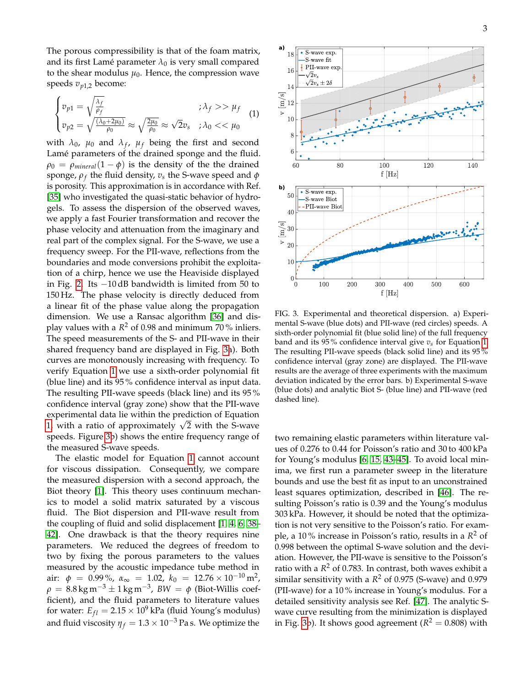The porous compressibility is that of the foam matrix, and its first Lamé parameter  $\lambda_0$  is very small compared to the shear modulus  $\mu_0$ . Hence, the compression wave speeds  $v_{n1,2}$  become:

$$
\begin{cases}\n v_{p1} = \sqrt{\frac{\lambda_f}{\rho_f}} & ; \lambda_f > \mu_f \\
 v_{p2} = \sqrt{\frac{(\lambda_0 + 2\mu_0)}{\rho_0}} \approx \sqrt{\frac{2\mu_0}{\rho_0}} \approx \sqrt{2}v_s & ; \lambda_0 < < \mu_0\n\end{cases}\n\tag{1}
$$

with  $\lambda_0$ ,  $\mu_0$  and  $\lambda_f$ ,  $\mu_f$  being the first and second Lamé parameters of the drained sponge and the fluid.  $\rho_0 = \rho_{mineral}(1 - \phi)$  is the density of the the drained sponge, *ρ<sup>f</sup>* the fluid density, *v<sup>s</sup>* the S-wave speed and *φ* is porosity. This approximation is in accordance with Ref. [\[35\]](#page-5-12) who investigated the quasi-static behavior of hydrogels. To assess the dispersion of the observed waves, we apply a fast Fourier transformation and recover the phase velocity and attenuation from the imaginary and real part of the complex signal. For the S-wave, we use a frequency sweep. For the PII-wave, reflections from the boundaries and mode conversions prohibit the exploitation of a chirp, hence we use the Heaviside displayed in Fig. [2.](#page-1-1) Its −10 dB bandwidth is limited from 50 to 150 Hz. The phase velocity is directly deduced from a linear fit of the phase value along the propagation dimension. We use a Ransac algorithm [\[36\]](#page-5-13) and display values with a *R* <sup>2</sup> of 0.98 and minimum 70 % inliers. The speed measurements of the S- and PII-wave in their shared frequency band are displayed in Fig. [3a](#page-2-0)). Both curves are monotonously increasing with frequency. To verify Equation [1](#page-1-1) we use a sixth-order polynomial fit (blue line) and its 95 % confidence interval as input data. The resulting PII-wave speeds (black line) and its 95 % confidence interval (gray zone) show that the PII-wave experimental data lie within the prediction of Equation experimental data ile within the prediction or Equation<br>[1,](#page-1-1) with a ratio of approximately  $\sqrt{2}$  with the S-wave speeds. Figure [3b](#page-2-0)) shows the entire frequency range of the measured S-wave speeds.

The elastic model for Equation [1](#page-1-1) cannot account for viscous dissipation. Consequently, we compare the measured dispersion with a second approach, the Biot theory [\[1\]](#page-4-0). This theory uses continuum mechanics to model a solid matrix saturated by a viscous fluid. The Biot dispersion and PII-wave result from the coupling of fluid and solid displacement [\[1,](#page-4-0) [4,](#page-4-2) [6,](#page-4-4) [38–](#page-5-14) [42\]](#page-5-15). One drawback is that the theory requires nine parameters. We reduced the degrees of freedom to two by fixing the porous parameters to the values measured by the acoustic impedance tube method in air:  $\phi = 0.99\%$ ,  $\alpha_{\infty} = 1.02$ ,  $k_0 = 12.76 \times 10^{-10} \,\text{m}^2$ ,  $\rho = 8.8 \,\text{kg}\,\text{m}^{-3} \pm 1 \,\text{kg}\,\text{m}^{-3}$ ,  $BW = \phi$  (Biot-Willis coefficient), and the fluid parameters to literature values for water:  $E_{fl} = 2.15 \times 10^9$  kPa (fluid Young's modulus) and fluid viscosity  $\eta_f = 1.3 \times 10^{-3}$  Pa s. We optimize the



<span id="page-2-0"></span>FIG. 3. Experimental and theoretical dispersion. a) Experimental S-wave (blue dots) and PII-wave (red circles) speeds. A sixth-order polynomial fit (blue solid line) of the full frequency band and its 95 % confidence interval give *vs* for Equation [1.](#page-1-1) The resulting PII-wave speeds (black solid line) and its 95 % confidence interval (gray zone) are displayed. The PII-wave results are the average of three experiments with the maximum deviation indicated by the error bars. b) Experimental S-wave (blue dots) and analytic Biot S- (blue line) and PII-wave (red dashed line).

two remaining elastic parameters within literature values of 0.276 to 0.44 for Poisson's ratio and 30 to 400 kPa for Young's modulus [\[6,](#page-4-4) [15,](#page-4-9) [43](#page-5-16)[–45\]](#page-5-17). To avoid local minima, we first run a parameter sweep in the literature bounds and use the best fit as input to an unconstrained least squares optimization, described in [\[46\]](#page-5-18). The resulting Poisson's ratio is 0.39 and the Young's modulus 303 kPa. However, it should be noted that the optimization is not very sensitive to the Poisson's ratio. For example, a 10 % increase in Poisson's ratio, results in a *R* <sup>2</sup> of 0.998 between the optimal S-wave solution and the deviation. However, the PII-wave is sensitive to the Poisson's ratio with a *R* <sup>2</sup> of 0.783. In contrast, both waves exhibit a similar sensitivity with a *R* <sup>2</sup> of 0.975 (S-wave) and 0.979 (PII-wave) for a 10 % increase in Young's modulus. For a detailed sensitivity analysis see Ref. [\[47\]](#page-5-19). The analytic Swave curve resulting from the minimization is displayed in Fig. [3b](#page-2-0)). It shows good agreement ( $R^2 = 0.808$ ) with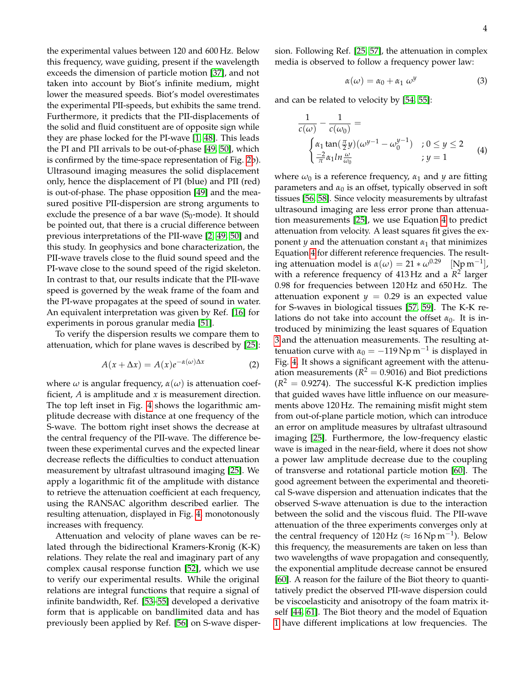the experimental values between 120 and 600 Hz. Below this frequency, wave guiding, present if the wavelength exceeds the dimension of particle motion [\[37\]](#page-5-20), and not taken into account by Biot's infinite medium, might lower the measured speeds. Biot's model overestimates the experimental PII-speeds, but exhibits the same trend. Furthermore, it predicts that the PII-displacements of the solid and fluid constituent are of opposite sign while they are phase locked for the PI-wave [\[1,](#page-4-0) [48\]](#page-5-21). This leads the PI and PII arrivals to be out-of-phase [\[49,](#page-5-22) [50\]](#page-5-23), which is confirmed by the time-space representation of Fig. [2b](#page-1-1)). Ultrasound imaging measures the solid displacement only, hence the displacement of PI (blue) and PII (red) is out-of-phase. The phase opposition [\[49\]](#page-5-22) and the measured positive PII-dispersion are strong arguments to exclude the presence of a bar wave  $(S_0$ -mode). It should be pointed out, that there is a crucial difference between previous interpretations of the PII-wave [\[2,](#page-4-10) [49,](#page-5-22) [50\]](#page-5-23) and this study. In geophysics and bone characterization, the PII-wave travels close to the fluid sound speed and the PI-wave close to the sound speed of the rigid skeleton. In contrast to that, our results indicate that the PII-wave speed is governed by the weak frame of the foam and the PI-wave propagates at the speed of sound in water. An equivalent interpretation was given by Ref. [\[16\]](#page-4-11) for experiments in porous granular media [\[51\]](#page-5-24).

To verify the dispersion results we compare them to attenuation, which for plane waves is described by [\[25\]](#page-5-3):

$$
A(x + \Delta x) = A(x)e^{-\alpha(\omega)\Delta x}
$$
 (2)

where  $\omega$  is angular frequency,  $\alpha(\omega)$  is attenuation coefficient, *A* is amplitude and *x* is measurement direction. The top left inset in Fig. [4](#page-4-17) shows the logarithmic amplitude decrease with distance at one frequency of the S-wave. The bottom right inset shows the decrease at the central frequency of the PII-wave. The difference between these experimental curves and the expected linear decrease reflects the difficulties to conduct attenuation measurement by ultrafast ultrasound imaging [\[25\]](#page-5-3). We apply a logarithmic fit of the amplitude with distance to retrieve the attenuation coefficient at each frequency, using the RANSAC algorithm described earlier. The resulting attenuation, displayed in Fig. [4,](#page-4-17) monotonously increases with frequency.

Attenuation and velocity of plane waves can be related through the bidirectional Kramers-Kronig (K-K) relations. They relate the real and imaginary part of any complex causal response function [\[52\]](#page-5-25), which we use to verify our experimental results. While the original relations are integral functions that require a signal of infinite bandwidth, Ref. [\[53–](#page-5-26)[55\]](#page-5-27) developed a derivative form that is applicable on bandlimited data and has previously been applied by Ref. [\[56\]](#page-5-28) on S-wave dispersion. Following Ref. [\[25,](#page-5-3) [57\]](#page-5-29), the attenuation in complex media is observed to follow a frequency power law:

$$
\alpha(\omega) = \alpha_0 + \alpha_1 \; \omega^y \tag{3}
$$

and can be related to velocity by [\[54,](#page-5-30) [55\]](#page-5-27):

$$
\frac{1}{c(\omega)} - \frac{1}{c(\omega_0)} =
$$
\n
$$
\begin{cases}\n\alpha_1 \tan(\frac{\pi}{2}y)(\omega^{y-1} - \omega_0^{y-1}) & ; 0 \le y \le 2 \\
\frac{-2}{\pi} \alpha_1 \ln \frac{\omega}{\omega_0} & ; y = 1\n\end{cases}
$$
\n(4)

where  $\omega_0$  is a reference frequency,  $\alpha_1$  and  $\gamma$  are fitting parameters and  $\alpha_0$  is an offset, typically observed in soft tissues [\[56,](#page-5-28) [58\]](#page-5-31). Since velocity measurements by ultrafast ultrasound imaging are less error prone than attenuation measurements [\[25\]](#page-5-3), we use Equation [4](#page-2-0) to predict attenuation from velocity. A least squares fit gives the exponent *y* and the attenuation constant  $\alpha_1$  that minimizes Equation [4](#page-2-0) for different reference frequencies. The resulting attenuation model is  $\alpha(\omega) = 21 * \omega^{0.29}$  [Np m<sup>-1</sup>], with a reference frequency of 413 Hz and a *R* 2 larger 0.98 for frequencies between 120 Hz and 650 Hz. The attenuation exponent  $y = 0.29$  is an expected value for S-waves in biological tissues [\[57,](#page-5-29) [59\]](#page-5-32). The K-K relations do not take into account the offset  $\alpha_0$ . It is introduced by minimizing the least squares of Equation [3](#page-2-0) and the attenuation measurements. The resulting attenuation curve with  $\alpha_0 = -119 \,\mathrm{Np\,m^{-1}}$  is displayed in Fig. [4.](#page-4-17) It shows a significant agreement with the attenuation measurements ( $R^2 = 0.9016$ ) and Biot predictions  $(R^2 = 0.9274)$ . The successful K-K prediction implies that guided waves have little influence on our measurements above 120 Hz. The remaining misfit might stem from out-of-plane particle motion, which can introduce an error on amplitude measures by ultrafast ultrasound imaging [\[25\]](#page-5-3). Furthermore, the low-frequency elastic wave is imaged in the near-field, where it does not show a power law amplitude decrease due to the coupling of transverse and rotational particle motion [\[60\]](#page-5-33). The good agreement between the experimental and theoretical S-wave dispersion and attenuation indicates that the observed S-wave attenuation is due to the interaction between the solid and the viscous fluid. The PII-wave attenuation of the three experiments converges only at the central frequency of  $120 \text{ Hz} \approx 16 \text{ Np m}^{-1}$ ). Below this frequency, the measurements are taken on less than two wavelengths of wave propagation and consequently, the exponential amplitude decrease cannot be ensured [\[60\]](#page-5-33). A reason for the failure of the Biot theory to quantitatively predict the observed PII-wave dispersion could be viscoelasticity and anisotropy of the foam matrix itself [\[44,](#page-5-34) [61\]](#page-5-35). The Biot theory and the model of Equation [1](#page-1-1) have different implications at low frequencies. The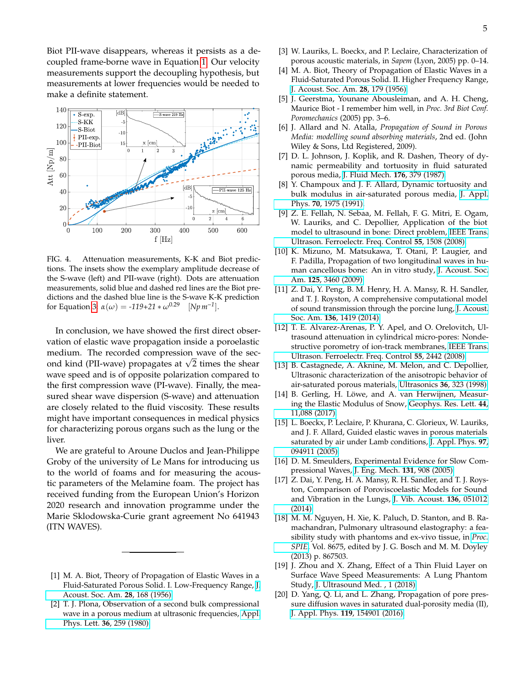Biot PII-wave disappears, whereas it persists as a decoupled frame-borne wave in Equation [1.](#page-1-1) Our velocity measurements support the decoupling hypothesis, but measurements at lower frequencies would be needed to make a definite statement.



<span id="page-4-17"></span>FIG. 4. Attenuation measurements, K-K and Biot predictions. The insets show the exemplary amplitude decrease of the S-wave (left) and PII-wave (right). Dots are attenuation measurements, solid blue and dashed red lines are the Biot predictions and the dashed blue line is the S-wave K-K prediction for Equation [3:](#page-2-0) *α*(*ω*) = *-119+21* ∗ *ω*0.29 [*Np m−1*].

In conclusion, we have showed the first direct observation of elastic wave propagation inside a poroelastic medium. The recorded compression wave of the secmeaium. The recorded compression wave or the sec-<br>ond kind (PII-wave) propagates at  $\sqrt{2}$  times the shear wave speed and is of opposite polarization compared to the first compression wave (PI-wave). Finally, the measured shear wave dispersion (S-wave) and attenuation are closely related to the fluid viscosity. These results might have important consequences in medical physics for characterizing porous organs such as the lung or the liver.

We are grateful to Aroune Duclos and Jean-Philippe Groby of the university of Le Mans for introducing us to the world of foams and for measuring the acoustic parameters of the Melamine foam. The project has received funding from the European Union's Horizon 2020 research and innovation programme under the Marie Sklodowska-Curie grant agreement No 641943 (ITN WAVES).

- <span id="page-4-0"></span>[1] M. A. Biot, Theory of Propagation of Elastic Waves in a Fluid-Saturated Porous Solid. I. Low-Frequency Range, [J.](https://doi.org/10.1121/1.1908239) [Acoust. Soc. Am.](https://doi.org/10.1121/1.1908239) **28**, 168 (1956).
- <span id="page-4-10"></span>[2] T. J. Plona, Observation of a second bulk compressional wave in a porous medium at ultrasonic frequencies, [Appl.](https://doi.org/10.1063/1.91445) Phys. Lett. **36**[, 259 \(1980\).](https://doi.org/10.1063/1.91445)
- <span id="page-4-1"></span>[3] W. Lauriks, L. Boeckx, and P. Leclaire, Characterization of porous acoustic materials, in *Sapem* (Lyon, 2005) pp. 0–14.
- <span id="page-4-2"></span>[4] M. A. Biot, Theory of Propagation of Elastic Waves in a Fluid-Saturated Porous Solid. II. Higher Frequency Range, [J. Acoust. Soc. Am.](https://doi.org/10.1121/1.1908241) **28**, 179 (1956).
- <span id="page-4-3"></span>[5] J. Geerstma, Younane Abousleiman, and A. H. Cheng, Maurice Biot - I remember him well, in *Proc. 3rd Biot Conf. Poromechanics* (2005) pp. 3–6.
- <span id="page-4-4"></span>[6] J. Allard and N. Atalla, *Propagation of Sound in Porous Media: modelling sound absorbing materials*, 2nd ed. (John Wiley & Sons, Ltd Registered, 2009).
- <span id="page-4-15"></span>[7] D. L. Johnson, J. Koplik, and R. Dashen, Theory of dynamic permeability and tortuosity in fluid saturated porous media, [J. Fluid Mech.](https://doi.org/10.1017/S0022112087000727) **176**, 379 (1987).
- <span id="page-4-16"></span>[8] Y. Champoux and J. F. Allard, Dynamic tortuosity and bulk modulus in air-saturated porous media, [J. Appl.](https://doi.org/10.1063/1.349482) Phys. **70**[, 1975 \(1991\).](https://doi.org/10.1063/1.349482)
- [9] Z. E. Fellah, N. Sebaa, M. Fellah, F. G. Mitri, E. Ogam, W. Lauriks, and C. Depollier, Application of the biot model to ultrasound in bone: Direct problem, [IEEE Trans.](https://doi.org/10.1109/TUFFC.2008.826) [Ultrason. Ferroelectr. Freq. Control](https://doi.org/10.1109/TUFFC.2008.826) **55**, 1508 (2008).
- [10] K. Mizuno, M. Matsukawa, T. Otani, P. Laugier, and F. Padilla, Propagation of two longitudinal waves in human cancellous bone: An in vitro study, [J. Acoust. Soc.](https://doi.org/10.1121/1.3111107) Am. **125**[, 3460 \(2009\).](https://doi.org/10.1121/1.3111107)
- <span id="page-4-5"></span>[11] Z. Dai, Y. Peng, B. M. Henry, H. A. Mansy, R. H. Sandler, and T. J. Royston, A comprehensive computational model of sound transmission through the porcine lung, [J. Acoust.](https://doi.org/10.1121/1.4890647) Soc. Am. **136**[, 1419 \(2014\).](https://doi.org/10.1121/1.4890647)
- <span id="page-4-6"></span>[12] T. E. Álvarez-Arenas, P. Y. Apel, and O. Orelovitch, Ultrasound attenuation in cylindrical micro-pores: Nondestructive porometry of ion-track membranes, [IEEE Trans.](https://doi.org/10.1109/TUFFC.951) [Ultrason. Ferroelectr. Freq. Control](https://doi.org/10.1109/TUFFC.951) **55**, 2442 (2008).
- <span id="page-4-7"></span>[13] B. Castagnede, A. Aknine, M. Melon, and C. Depollier, Ultrasonic characterization of the anisotropic behavior of air-saturated porous materials, Ultrasonics **36**[, 323 \(1998\).](https://doi.org/10.1016/S0041-624X(97)00093-0)
- <span id="page-4-8"></span>[14] B. Gerling, H. Löwe, and A. van Herwijnen, Measuring the Elastic Modulus of Snow, [Geophys. Res. Lett.](https://doi.org/10.1002/2017GL075110) **44**, [11,088 \(2017\).](https://doi.org/10.1002/2017GL075110)
- <span id="page-4-9"></span>[15] L. Boeckx, P. Leclaire, P. Khurana, C. Glorieux, W. Lauriks, and J. F. Allard, Guided elastic waves in porous materials saturated by air under Lamb conditions, [J. Appl. Phys.](https://doi.org/10.1063/1.1886885) **97**, [094911 \(2005\).](https://doi.org/10.1063/1.1886885)
- <span id="page-4-11"></span>[16] D. M. Smeulders, Experimental Evidence for Slow Compressional Waves, [J. Eng. Mech.](https://doi.org/10.1061/(ASCE)0733-9399(2005)131:9(908)) **131**, 908 (2005).
- <span id="page-4-12"></span>[17] Z. Dai, Y. Peng, H. A. Mansy, R. H. Sandler, and T. J. Royston, Comparison of Poroviscoelastic Models for Sound and Vibration in the Lungs, [J. Vib. Acoust.](https://doi.org/10.1115/1.4026436) **136**, 051012 [\(2014\).](https://doi.org/10.1115/1.4026436)
- [18] M. M. Nguyen, H. Xie, K. Paluch, D. Stanton, and B. Ramachandran, Pulmonary ultrasound elastography: a feasibility study with phantoms and ex-vivo tissue, in *[Proc.](https://doi.org/10.1117/12.2007354) [SPIE](https://doi.org/10.1117/12.2007354)*, Vol. 8675, edited by J. G. Bosch and M. M. Doyley (2013) p. 867503.
- <span id="page-4-13"></span>[19] J. Zhou and X. Zhang, Effect of a Thin Fluid Layer on Surface Wave Speed Measurements: A Lung Phantom Study, [J. Ultrasound Med. , 1 \(2018\).](https://doi.org/10.1002/jum.14802)
- <span id="page-4-14"></span>[20] D. Yang, Q. Li, and L. Zhang, Propagation of pore pressure diffusion waves in saturated dual-porosity media (II), J. Appl. Phys. **119**[, 154901 \(2016\).](https://doi.org/10.1063/1.4946832)